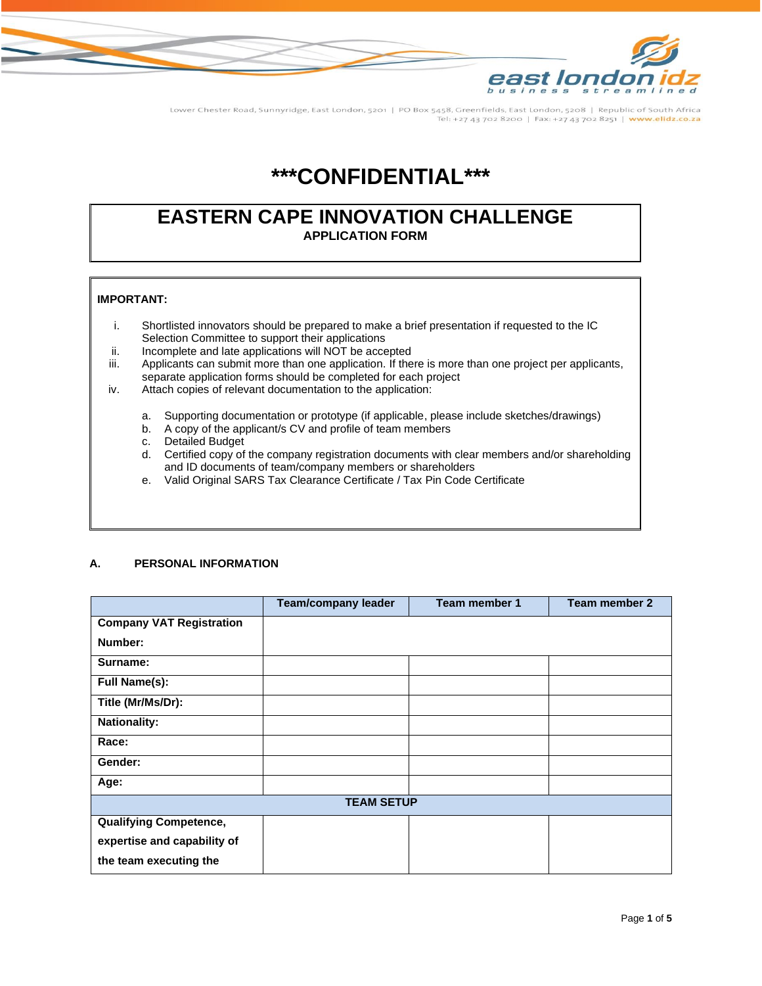

Lower Chester Road, Sunnyridge, East London, 5201 | PO Box 5458, Greenfields, East London, 5208 | Republic of South Africa Tel: +27 43 702 8200 | Fax: +27 43 702 8251 | www.elidz.co.za

## **\*\*\*CONFIDENTIAL\*\*\***

### **EASTERN CAPE INNOVATION CHALLENGE APPLICATION FORM**

#### **IMPORTANT:**

- i. Shortlisted innovators should be prepared to make a brief presentation if requested to the IC Selection Committee to support their applications
- ii. Incomplete and late applications will NOT be accepted
- iii. Applicants can submit more than one application. If there is more than one project per applicants, separate application forms should be completed for each project
- iv. Attach copies of relevant documentation to the application:
	- a. Supporting documentation or prototype (if applicable, please include sketches/drawings)
	- b. A copy of the applicant/s CV and profile of team members
	- c. Detailed Budget
	- d. Certified copy of the company registration documents with clear members and/or shareholding and ID documents of team/company members or shareholders
	- e. Valid Original SARS Tax Clearance Certificate / Tax Pin Code Certificate

#### **A. PERSONAL INFORMATION**

|                                 | <b>Team/company leader</b> | Team member 1 | Team member 2 |  |
|---------------------------------|----------------------------|---------------|---------------|--|
| <b>Company VAT Registration</b> |                            |               |               |  |
| Number:                         |                            |               |               |  |
| Surname:                        |                            |               |               |  |
| <b>Full Name(s):</b>            |                            |               |               |  |
| Title (Mr/Ms/Dr):               |                            |               |               |  |
| <b>Nationality:</b>             |                            |               |               |  |
| Race:                           |                            |               |               |  |
| Gender:                         |                            |               |               |  |
| Age:                            |                            |               |               |  |
| <b>TEAM SETUP</b>               |                            |               |               |  |
| <b>Qualifying Competence,</b>   |                            |               |               |  |
| expertise and capability of     |                            |               |               |  |
| the team executing the          |                            |               |               |  |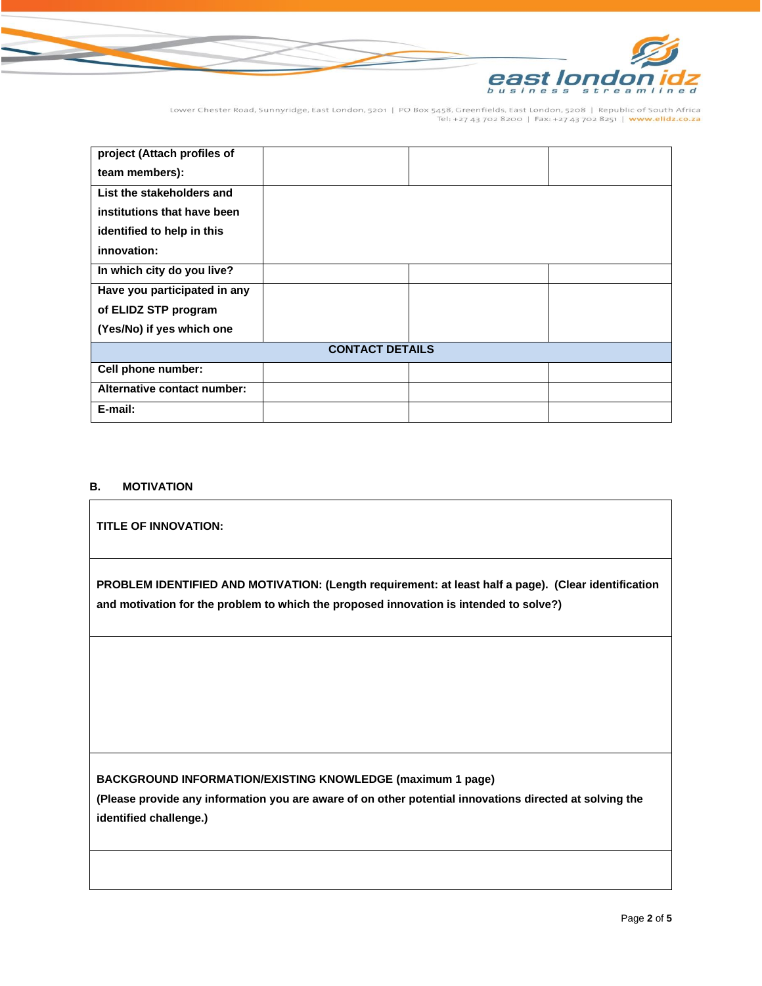

Lower Chester Road, Sunnyridge, East London, 5201 | PO Box 5458, Greenfields, East London, 5208 | Republic of South Africa<br>Tel: +27 43 702 8200 | Fax: +27 43 702 8251 | www.elidz.co.za

| project (Attach profiles of  |  |  |  |  |
|------------------------------|--|--|--|--|
| team members):               |  |  |  |  |
| List the stakeholders and    |  |  |  |  |
| institutions that have been  |  |  |  |  |
| identified to help in this   |  |  |  |  |
| innovation:                  |  |  |  |  |
| In which city do you live?   |  |  |  |  |
| Have you participated in any |  |  |  |  |
| of ELIDZ STP program         |  |  |  |  |
| (Yes/No) if yes which one    |  |  |  |  |
| <b>CONTACT DETAILS</b>       |  |  |  |  |
| Cell phone number:           |  |  |  |  |
| Alternative contact number:  |  |  |  |  |
| E-mail:                      |  |  |  |  |

#### **B. MOTIVATION**

# **TITLE OF INNOVATION: PROBLEM IDENTIFIED AND MOTIVATION: (Length requirement: at least half a page). (Clear identification and motivation for the problem to which the proposed innovation is intended to solve?)**

**BACKGROUND INFORMATION/EXISTING KNOWLEDGE (maximum 1 page)** 

**(Please provide any information you are aware of on other potential innovations directed at solving the identified challenge.)**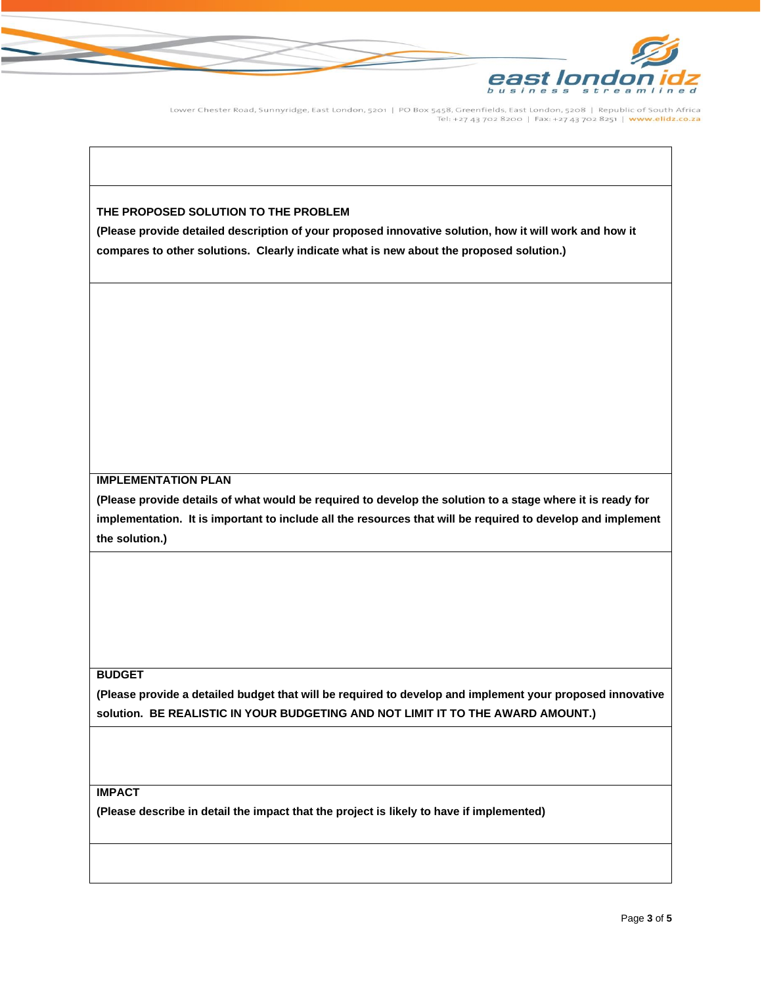

Lower Chester Road, Sunnyridge, East London, 5201 | PO Box 5458, Greenfields, East London, 5208 | Republic of South Africa Tel: +27 43 702 8200 | Fax: +27 43 702 8251 | www.elidz.co.za

#### **THE PROPOSED SOLUTION TO THE PROBLEM**

**(Please provide detailed description of your proposed innovative solution, how it will work and how it compares to other solutions. Clearly indicate what is new about the proposed solution.)**

#### **IMPLEMENTATION PLAN**

**(Please provide details of what would be required to develop the solution to a stage where it is ready for implementation. It is important to include all the resources that will be required to develop and implement the solution.)** 

#### **BUDGET**

**(Please provide a detailed budget that will be required to develop and implement your proposed innovative solution. BE REALISTIC IN YOUR BUDGETING AND NOT LIMIT IT TO THE AWARD AMOUNT.)**

#### **IMPACT**

**(Please describe in detail the impact that the project is likely to have if implemented)**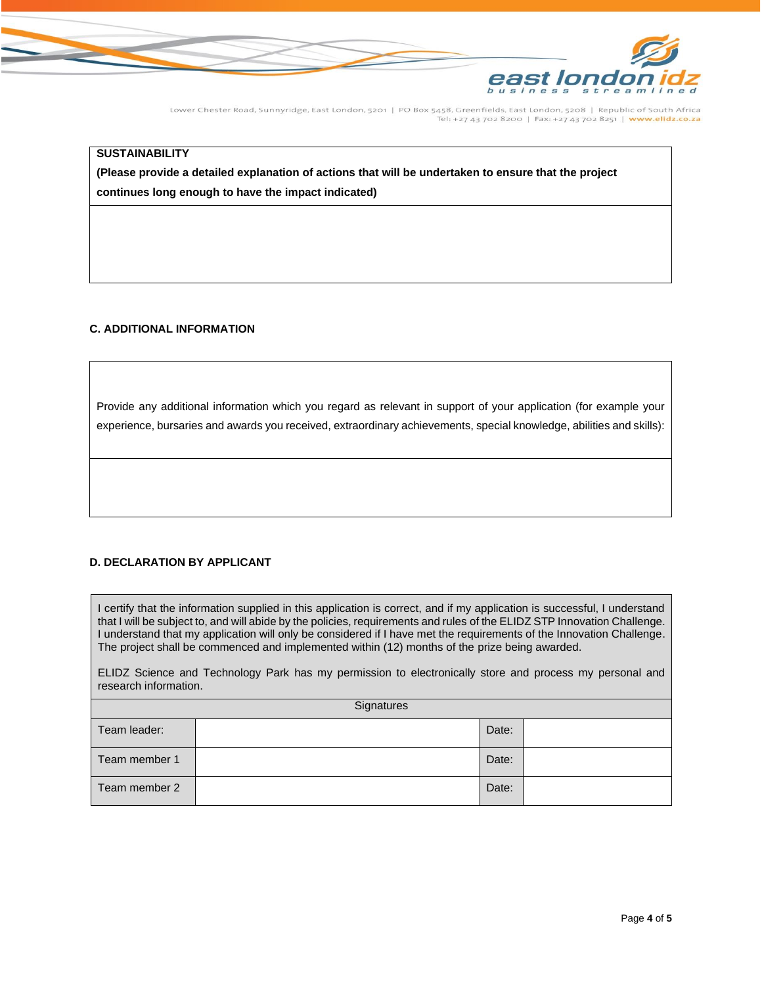

Lower Chester Road, Sunnyridge, East London, 5201 | PO Box 5458, Greenfields, East London, 5208 | Republic of South Africa Tel: +27 43 702 8200 | Fax: +27 43 702 8251 | www.elidz.co.za

#### **SUSTAINABILITY**

**(Please provide a detailed explanation of actions that will be undertaken to ensure that the project continues long enough to have the impact indicated)**

#### **C. ADDITIONAL INFORMATION**

Provide any additional information which you regard as relevant in support of your application (for example your experience, bursaries and awards you received, extraordinary achievements, special knowledge, abilities and skills):

#### **D. DECLARATION BY APPLICANT**

I certify that the information supplied in this application is correct, and if my application is successful, I understand that I will be subject to, and will abide by the policies, requirements and rules of the ELIDZ STP Innovation Challenge. I understand that my application will only be considered if I have met the requirements of the Innovation Challenge. The project shall be commenced and implemented within (12) months of the prize being awarded.

ELIDZ Science and Technology Park has my permission to electronically store and process my personal and research information.

| Signatures    |  |       |  |  |
|---------------|--|-------|--|--|
| Team leader:  |  | Date: |  |  |
| Team member 1 |  | Date: |  |  |
| Team member 2 |  | Date: |  |  |